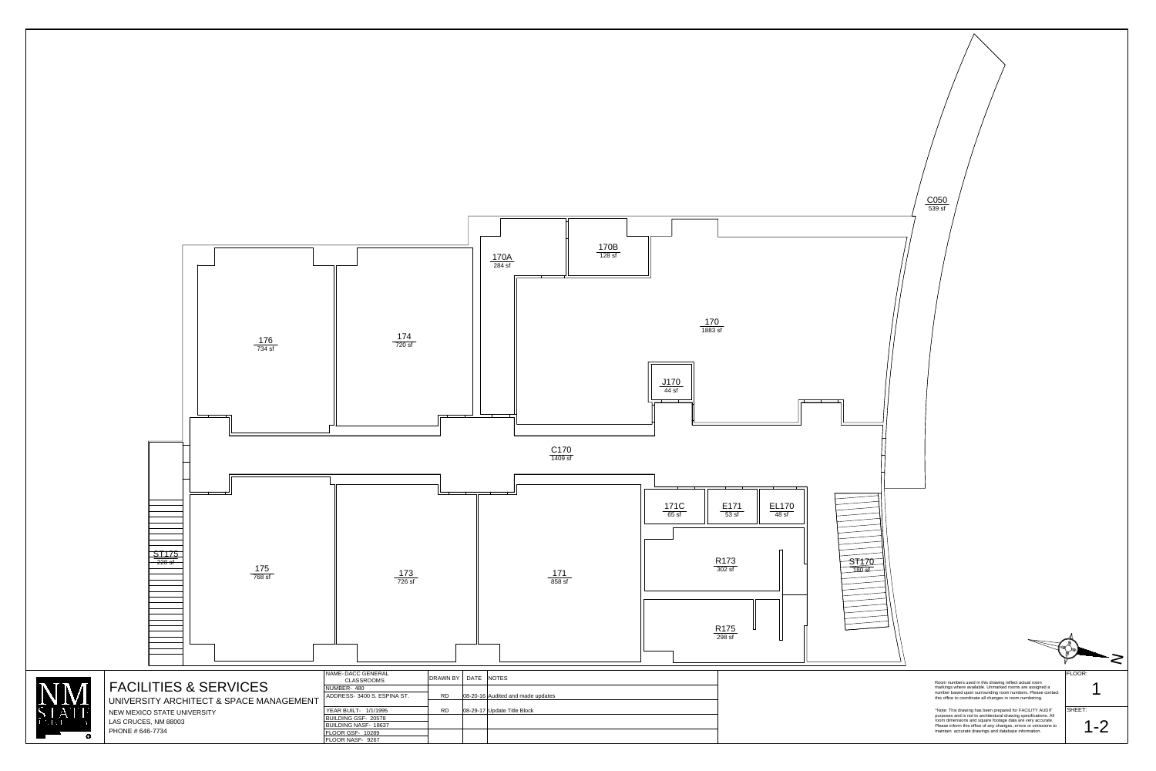



## FACILITIES & SERVICES

NEW MEXICO STATE UNIVERSITY LAS CRUCES, NM 88003 PHONE # 646-7734